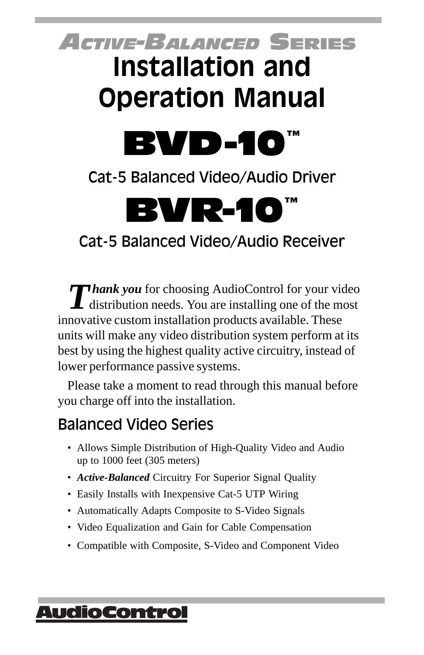# *ACTIVE-BALANCED* SERIES **Installation and Operation Manual**



Cat-5 Balanced Video/Audio Driver

BVR-10

Cat-5 Balanced Video/Audio Receiver

**Thank you** for choosing AudioControl for your video distribution needs. You are installing one of the most innovative custom installation products available. These units will make any video distribution system perform at its best by using the highest quality active circuitry, instead of lower performance passive systems.

Please take a moment to read through this manual before you charge off into the installation.

### Balanced Video Series

- Allows Simple Distribution of High-Quality Video and Audio up to 1000 feet (305 meters)
- *Active-Balanced* Circuitry For Superior Signal Quality
- Easily Installs with Inexpensive Cat-5 UTP Wiring
- Automatically Adapts Composite to S-Video Signals
- Video Equalization and Gain for Cable Compensation
- Compatible with Composite, S-Video and Component Video

### <u> AudioControl</u>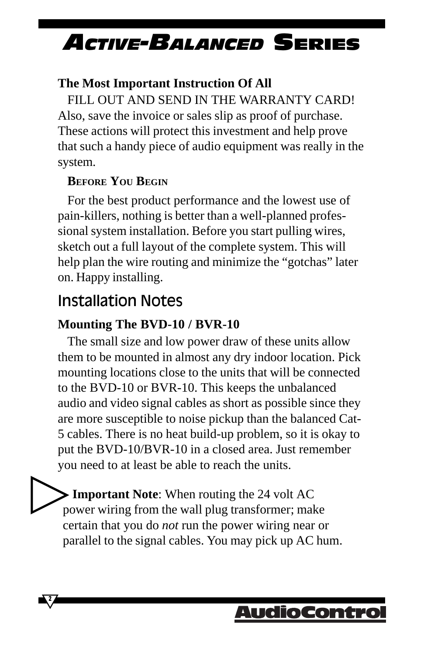#### **The Most Important Instruction Of All**

FILL OUT AND SEND IN THE WARRANTY CARD! Also, save the invoice or sales slip as proof of purchase. These actions will protect this investment and help prove that such a handy piece of audio equipment was really in the system.

#### **BEFORE YOU BEGIN**

For the best product performance and the lowest use of pain-killers, nothing is better than a well-planned professional system installation. Before you start pulling wires, sketch out a full layout of the complete system. This will help plan the wire routing and minimize the "gotchas" later on. Happy installing.

### Installation Notes

**2**

#### **Mounting The BVD-10 / BVR-10**

The small size and low power draw of these units allow them to be mounted in almost any dry indoor location. Pick mounting locations close to the units that will be connected to the BVD-10 or BVR-10. This keeps the unbalanced audio and video signal cables as short as possible since they are more susceptible to noise pickup than the balanced Cat-5 cables. There is no heat build-up problem, so it is okay to put the BVD-10/BVR-10 in a closed area. Just remember you need to at least be able to reach the units.

**Important Note**: When routing the 24 volt AC power wiring from the wall plug transformer; make certain that you do *not* run the power wiring near or parallel to the signal cables. You may pick up AC hum.

### AudioContrc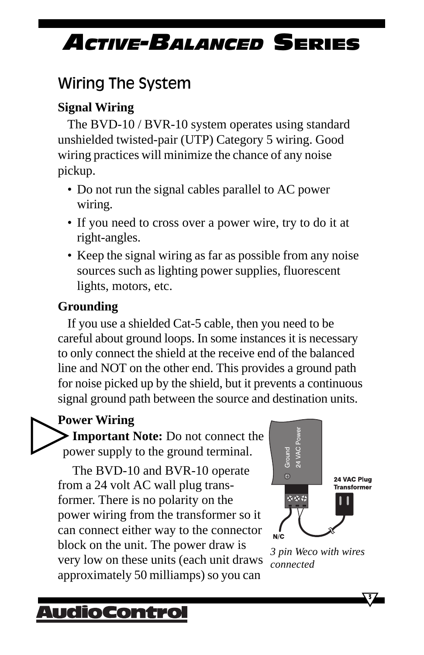### Wiring The System

#### **Signal Wiring**

The BVD-10 / BVR-10 system operates using standard unshielded twisted-pair (UTP) Category 5 wiring. Good wiring practices will minimize the chance of any noise pickup.

- Do not run the signal cables parallel to AC power wiring.
- If you need to cross over a power wire, try to do it at right-angles.
- Keep the signal wiring as far as possible from any noise sources such as lighting power supplies, fluorescent lights, motors, etc.

#### **Grounding**

If you use a shielded Cat-5 cable, then you need to be careful about ground loops. In some instances it is necessary to only connect the shield at the receive end of the balanced line and NOT on the other end. This provides a ground path for noise picked up by the shield, but it prevents a continuous signal ground path between the source and destination units.

#### **Power Wiring**

**Important Note:** Do not connect the power supply to the ground terminal.

The BVD-10 and BVR-10 operate from a 24 volt AC wall plug transformer. There is no polarity on the power wiring from the transformer so it can connect either way to the connector block on the unit. The power draw is very low on these units (each unit draws approximately 50 milliamps) so you can



*3 pin Weco with wires connected*

**3**

### <u> AudioContro</u>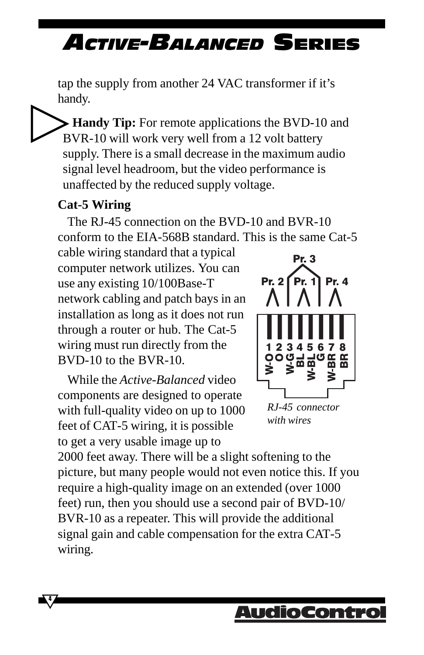tap the supply from another 24 VAC transformer if it's handy.

**Handy Tip:** For remote applications the BVD-10 and BVR-10 will work very well from a 12 volt battery supply. There is a small decrease in the maximum audio signal level headroom, but the video performance is unaffected by the reduced supply voltage.

#### **Cat-5 Wiring**

**4**

The RJ-45 connection on the BVD-10 and BVR-10 conform to the EIA-568B standard. This is the same Cat-5

cable wiring standard that a typical computer network utilizes. You can use any existing 10/100Base-T network cabling and patch bays in an installation as long as it does not run through a router or hub. The Cat-5 wiring must run directly from the BVD-10 to the BVR-10.

While the *Active-Balanced* video components are designed to operate with full-quality video on up to 1000 feet of CAT-5 wiring, it is possible to get a very usable image up to



*RJ-45 connector with wires*

2000 feet away. There will be a slight softening to the picture, but many people would not even notice this. If you require a high-quality image on an extended (over 1000 feet) run, then you should use a second pair of BVD-10/ BVR-10 as a repeater. This will provide the additional signal gain and cable compensation for the extra CAT-5 wiring.

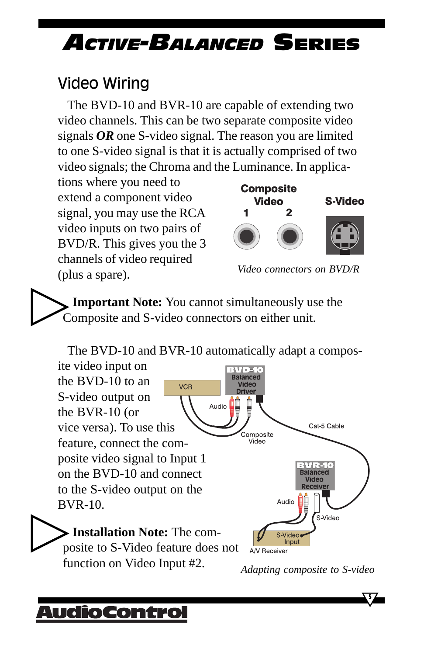### Video Wiring

The BVD-10 and BVR-10 are capable of extending two video channels. This can be two separate composite video signals *OR* one S-video signal. The reason you are limited to one S-video signal is that it is actually comprised of two video signals; the Chroma and the Luminance. In applica-

tions where you need to extend a component video signal, you may use the RCA video inputs on two pairs of BVD/R. This gives you the 3 channels of video required (plus a spare). *Video connectors on BVD/R*



**Important Note:** You cannot simultaneously use the Composite and S-video connectors on either unit.

The BVD-10 and BVR-10 automatically adapt a compos-



A/V Receiver function on Video Input #2.*Adapting composite to S-video*

Innut

### AudioContro

posite to S-Video feature does not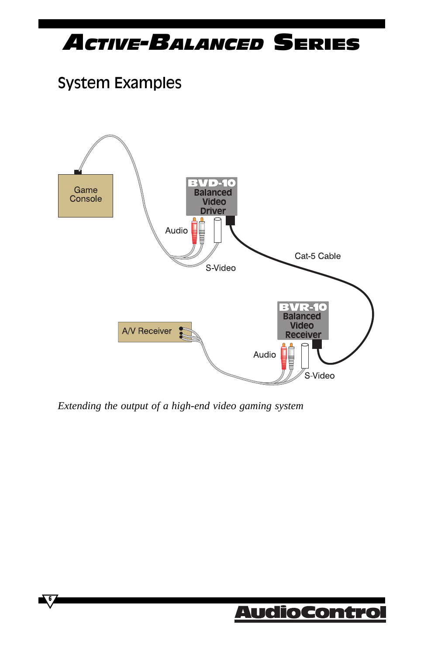### System Examples



*Extending the output of a high-end video gaming system*

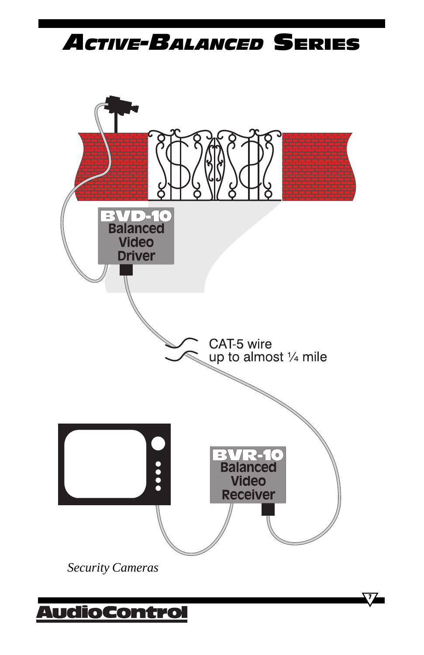

**7**

*Security Cameras*

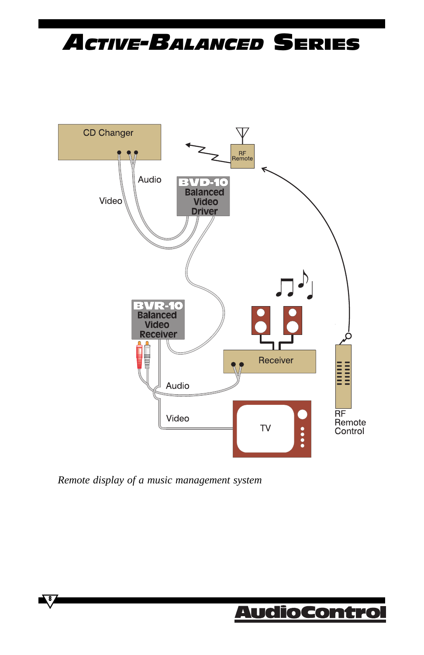

*Remote display of a music management system*

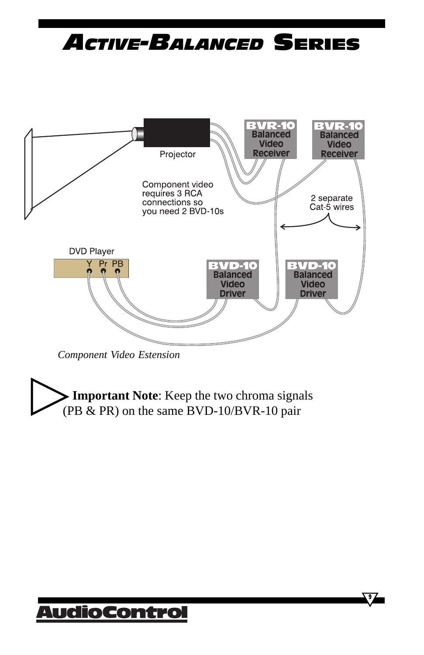

*Component Video Estension*

**Important Note**: Keep the two chroma signals (PB & PR) on the same BVD-10/BVR-10 pair

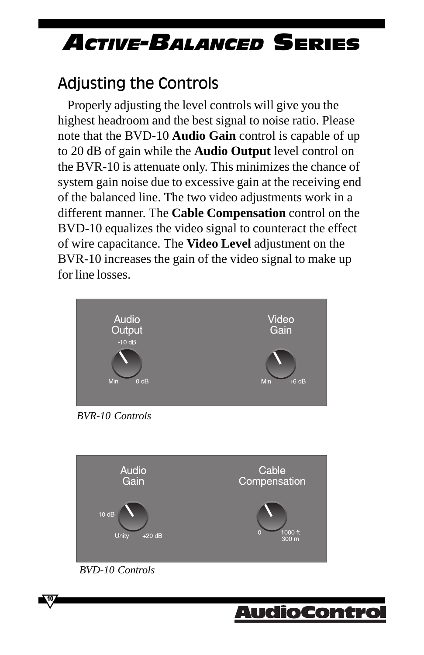### Adjusting the Controls

Properly adjusting the level controls will give you the highest headroom and the best signal to noise ratio. Please note that the BVD-10 **Audio Gain** control is capable of up to 20 dB of gain while the **Audio Output** level control on the BVR-10 is attenuate only. This minimizes the chance of system gain noise due to excessive gain at the receiving end of the balanced line. The two video adjustments work in a different manner. The **Cable Compensation** control on the BVD-10 equalizes the video signal to counteract the effect of wire capacitance. The **Video Level** adjustment on the BVR-10 increases the gain of the video signal to make up for line losses.





*BVD-10 Controls*

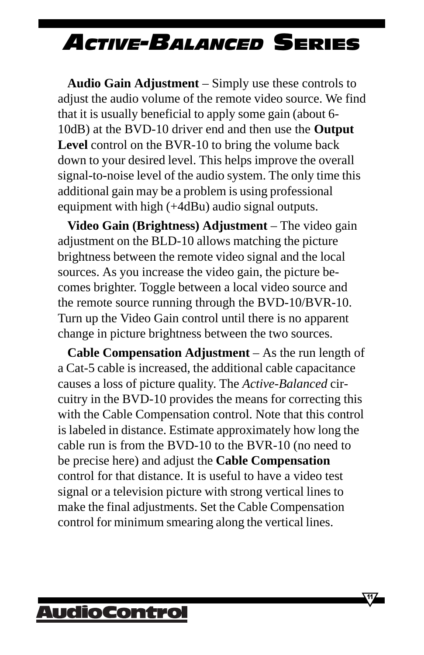**Audio Gain Adjustment** – Simply use these controls to adjust the audio volume of the remote video source. We find that it is usually beneficial to apply some gain (about 6- 10dB) at the BVD-10 driver end and then use the **Output Level** control on the BVR-10 to bring the volume back down to your desired level. This helps improve the overall signal-to-noise level of the audio system. The only time this additional gain may be a problem is using professional equipment with high (+4dBu) audio signal outputs.

**Video Gain (Brightness) Adjustment** – The video gain adjustment on the BLD-10 allows matching the picture brightness between the remote video signal and the local sources. As you increase the video gain, the picture becomes brighter. Toggle between a local video source and the remote source running through the BVD-10/BVR-10. Turn up the Video Gain control until there is no apparent change in picture brightness between the two sources.

**Cable Compensation Adjustment** – As the run length of a Cat-5 cable is increased, the additional cable capacitance causes a loss of picture quality. The *Active-Balanced* circuitry in the BVD-10 provides the means for correcting this with the Cable Compensation control. Note that this control is labeled in distance. Estimate approximately how long the cable run is from the BVD-10 to the BVR-10 (no need to be precise here) and adjust the **Cable Compensation** control for that distance. It is useful to have a video test signal or a television picture with strong vertical lines to make the final adjustments. Set the Cable Compensation control for minimum smearing along the vertical lines.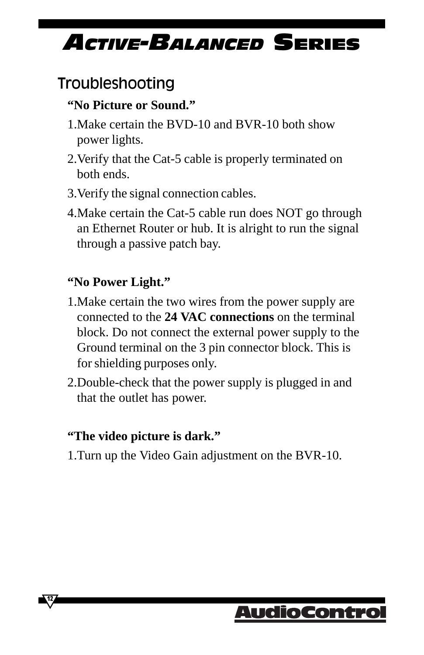### Troubleshooting

#### **"No Picture or Sound."**

- 1.Make certain the BVD-10 and BVR-10 both show power lights.
- 2.Verify that the Cat-5 cable is properly terminated on both ends.
- 3.Verify the signal connection cables.
- 4.Make certain the Cat-5 cable run does NOT go through an Ethernet Router or hub. It is alright to run the signal through a passive patch bay.

#### **"No Power Light."**

- 1.Make certain the two wires from the power supply are connected to the **24 VAC connections** on the terminal block. Do not connect the external power supply to the Ground terminal on the 3 pin connector block. This is for shielding purposes only.
- 2.Double-check that the power supply is plugged in and that the outlet has power.

#### **"The video picture is dark."**

**12**

1.Turn up the Video Gain adjustment on the BVR-10.

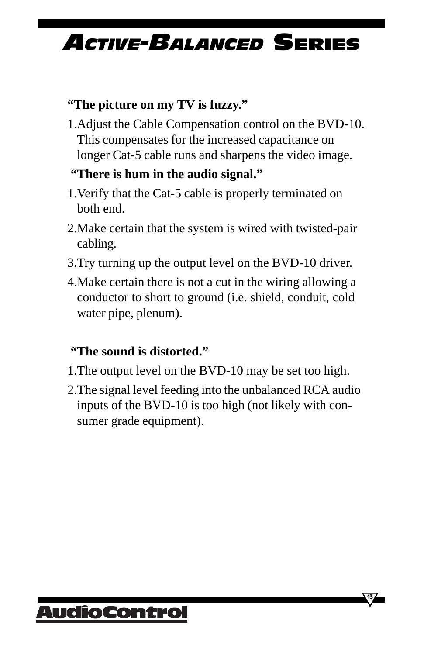#### **"The picture on my TV is fuzzy."**

1.Adjust the Cable Compensation control on the BVD-10. This compensates for the increased capacitance on longer Cat-5 cable runs and sharpens the video image.

#### **"There is hum in the audio signal."**

- 1.Verify that the Cat-5 cable is properly terminated on both end.
- 2.Make certain that the system is wired with twisted-pair cabling.
- 3.Try turning up the output level on the BVD-10 driver.
- 4.Make certain there is not a cut in the wiring allowing a conductor to short to ground (i.e. shield, conduit, cold water pipe, plenum).

#### **"The sound is distorted."**

- 1.The output level on the BVD-10 may be set too high.
- 2.The signal level feeding into the unbalanced RCA audio inputs of the BVD-10 is too high (not likely with consumer grade equipment).



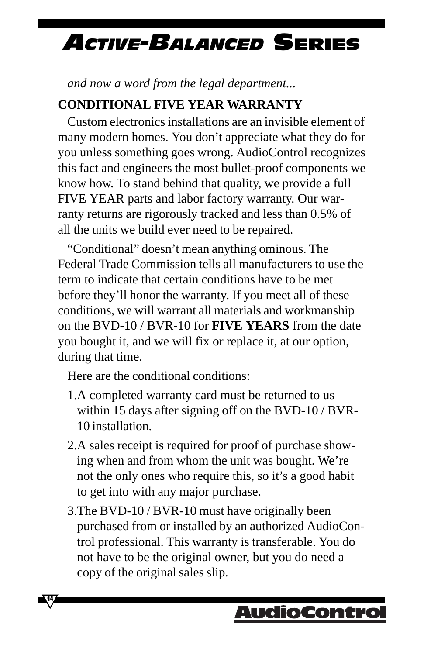*and now a word from the legal department...*

#### **CONDITIONAL FIVE YEAR WARRANTY**

Custom electronics installations are an invisible element of many modern homes. You don't appreciate what they do for you unless something goes wrong. AudioControl recognizes this fact and engineers the most bullet-proof components we know how. To stand behind that quality, we provide a full FIVE YEAR parts and labor factory warranty. Our warranty returns are rigorously tracked and less than 0.5% of all the units we build ever need to be repaired.

"Conditional" doesn't mean anything ominous. The Federal Trade Commission tells all manufacturers to use the term to indicate that certain conditions have to be met before they'll honor the warranty. If you meet all of these conditions, we will warrant all materials and workmanship on the BVD-10 / BVR-10 for **FIVE YEARS** from the date you bought it, and we will fix or replace it, at our option, during that time.

Here are the conditional conditions:

**14**

- 1.A completed warranty card must be returned to us within 15 days after signing off on the BVD-10 / BVR-10 installation.
- 2.A sales receipt is required for proof of purchase showing when and from whom the unit was bought. We're not the only ones who require this, so it's a good habit to get into with any major purchase.
- 3.The BVD-10 / BVR-10 must have originally been purchased from or installed by an authorized AudioControl professional. This warranty is transferable. You do not have to be the original owner, but you do need a copy of the original sales slip.

### AudioContro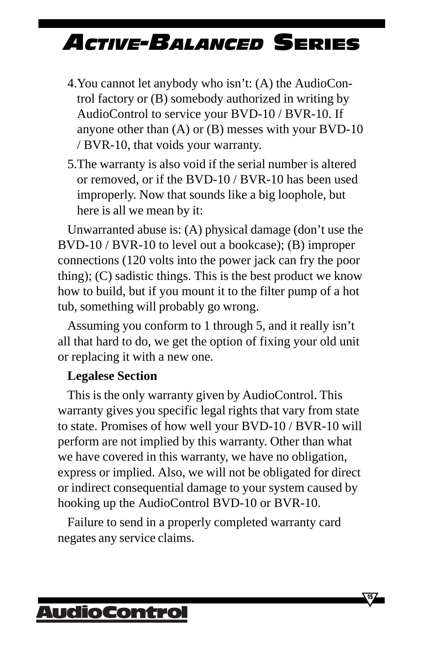- 4.You cannot let anybody who isn't: (A) the AudioControl factory or (B) somebody authorized in writing by AudioControl to service your BVD-10 / BVR-10. If anyone other than  $(A)$  or  $(B)$  messes with your BVD-10 / BVR-10, that voids your warranty.
- 5.The warranty is also void if the serial number is altered or removed, or if the BVD-10 / BVR-10 has been used improperly. Now that sounds like a big loophole, but here is all we mean by it:

Unwarranted abuse is: (A) physical damage (don't use the BVD-10 / BVR-10 to level out a bookcase); (B) improper connections (120 volts into the power jack can fry the poor thing); (C) sadistic things. This is the best product we know how to build, but if you mount it to the filter pump of a hot tub, something will probably go wrong.

Assuming you conform to 1 through 5, and it really isn't all that hard to do, we get the option of fixing your old unit or replacing it with a new one.

#### **Legalese Section**

This is the only warranty given by AudioControl. This warranty gives you specific legal rights that vary from state to state. Promises of how well your BVD-10 / BVR-10 will perform are not implied by this warranty. Other than what we have covered in this warranty, we have no obligation, express or implied. Also, we will not be obligated for direct or indirect consequential damage to your system caused by hooking up the AudioControl BVD-10 or BVR-10.

Failure to send in a properly completed warranty card negates any service claims.

**15**

### AudioContro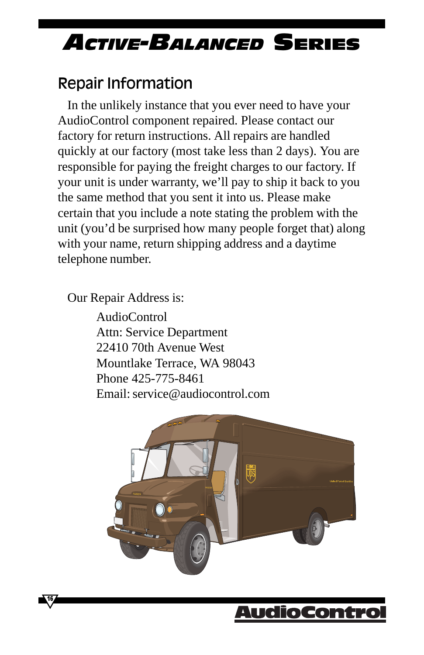### Repair Information

In the unlikely instance that you ever need to have your AudioControl component repaired. Please contact our factory for return instructions. All repairs are handled quickly at our factory (most take less than 2 days). You are responsible for paying the freight charges to our factory. If your unit is under warranty, we'll pay to ship it back to you the same method that you sent it into us. Please make certain that you include a note stating the problem with the unit (you'd be surprised how many people forget that) along with your name, return shipping address and a daytime telephone number.

Our Repair Address is:

**16**

AudioControl Attn: Service Department 22410 70th Avenue West Mountlake Terrace, WA 98043 Phone 425-775-8461 Email: service@audiocontrol.com



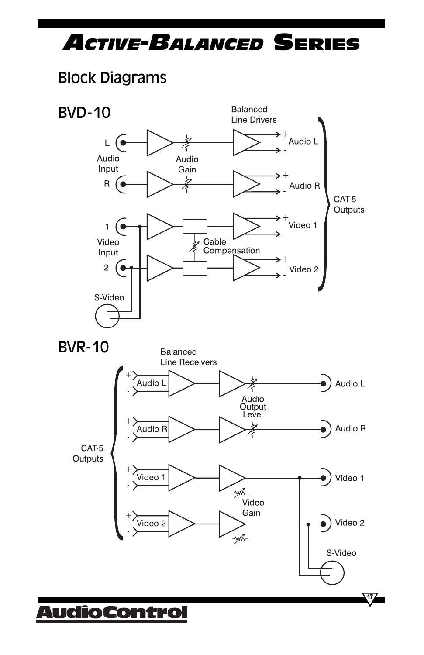### Block Diagrams

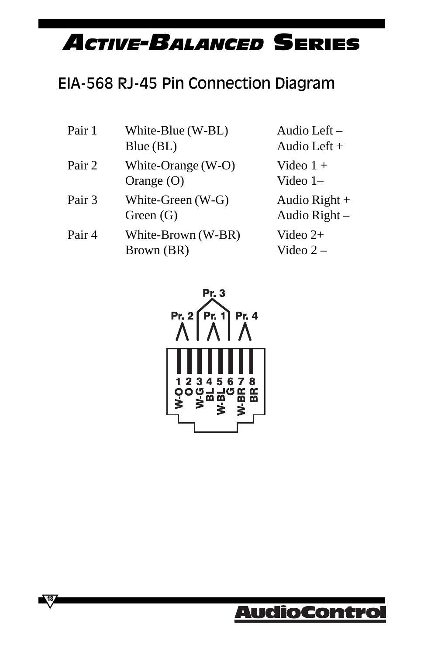### EIA-568 RJ-45 Pin Connection Diagram

| Pair 1 | White-Blue (W-BL)<br>Blue (BL)     | Audio Left $-$<br>Audio Left $+$ |
|--------|------------------------------------|----------------------------------|
| Pair 2 | White-Orange (W-O)<br>Orange $(O)$ | Video $1 +$<br>Video $1-$        |
| Pair 3 | White-Green (W-G)<br>Green $(G)$   | Audio Right $+$<br>Audio Right - |
| Pair 4 | White-Brown (W-BR)<br>Brown (BR)   | Video $2+$<br>Video $2-$         |



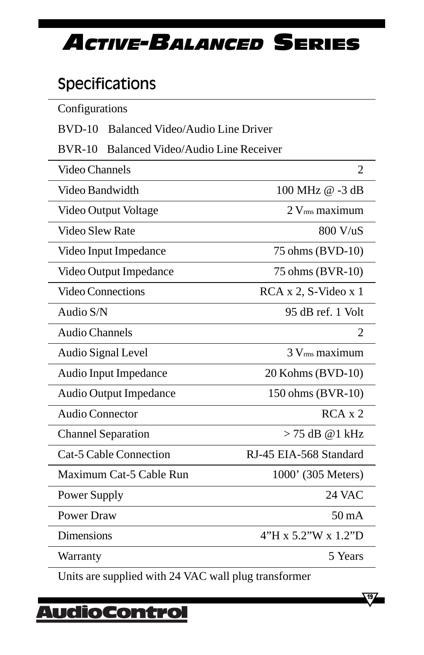### Specifications

| Configurations                                 |                            |  |  |
|------------------------------------------------|----------------------------|--|--|
| $BVD-10$<br>Balanced Video/Audio Line Driver   |                            |  |  |
| $BVR-10$<br>Balanced Video/Audio Line Receiver |                            |  |  |
| Video Channels<br>2                            |                            |  |  |
| Video Bandwidth                                | 100 MHz @ -3 dB            |  |  |
| Video Output Voltage                           | $2$ V $_{\rm rms}$ maximum |  |  |
| Video Slew Rate                                | 800 V/uS                   |  |  |
| Video Input Impedance                          | 75 ohms (BVD-10)           |  |  |
| Video Output Impedance                         | 75 ohms (BVR-10)           |  |  |
| <b>Video Connections</b>                       | RCA x 2, S-Video x 1       |  |  |
| Audio S/N                                      | 95 dB ref. 1 Volt          |  |  |
| <b>Audio Channels</b>                          | 2                          |  |  |
| Audio Signal Level                             | 3 V <sub>rms</sub> maximum |  |  |
| Audio Input Impedance                          | 20 Kohms (BVD-10)          |  |  |
| <b>Audio Output Impedance</b>                  | 150 ohms (BVR-10)          |  |  |
| Audio Connector                                | $RCA \times 2$             |  |  |
| <b>Channel Separation</b>                      | $> 75$ dB @ 1 kHz          |  |  |
| <b>Cat-5 Cable Connection</b>                  | RJ-45 EIA-568 Standard     |  |  |
| Maximum Cat-5 Cable Run                        | 1000' (305 Meters)         |  |  |
| Power Supply                                   | 24 VAC                     |  |  |
| <b>Power Draw</b>                              | $50 \text{ mA}$            |  |  |
| Dimensions                                     | 4"H x 5.2"W x 1.2"D        |  |  |
| Warranty                                       | 5 Years                    |  |  |

Units are supplied with 24 VAC wall plug transformer

## <u> AudioControl</u>